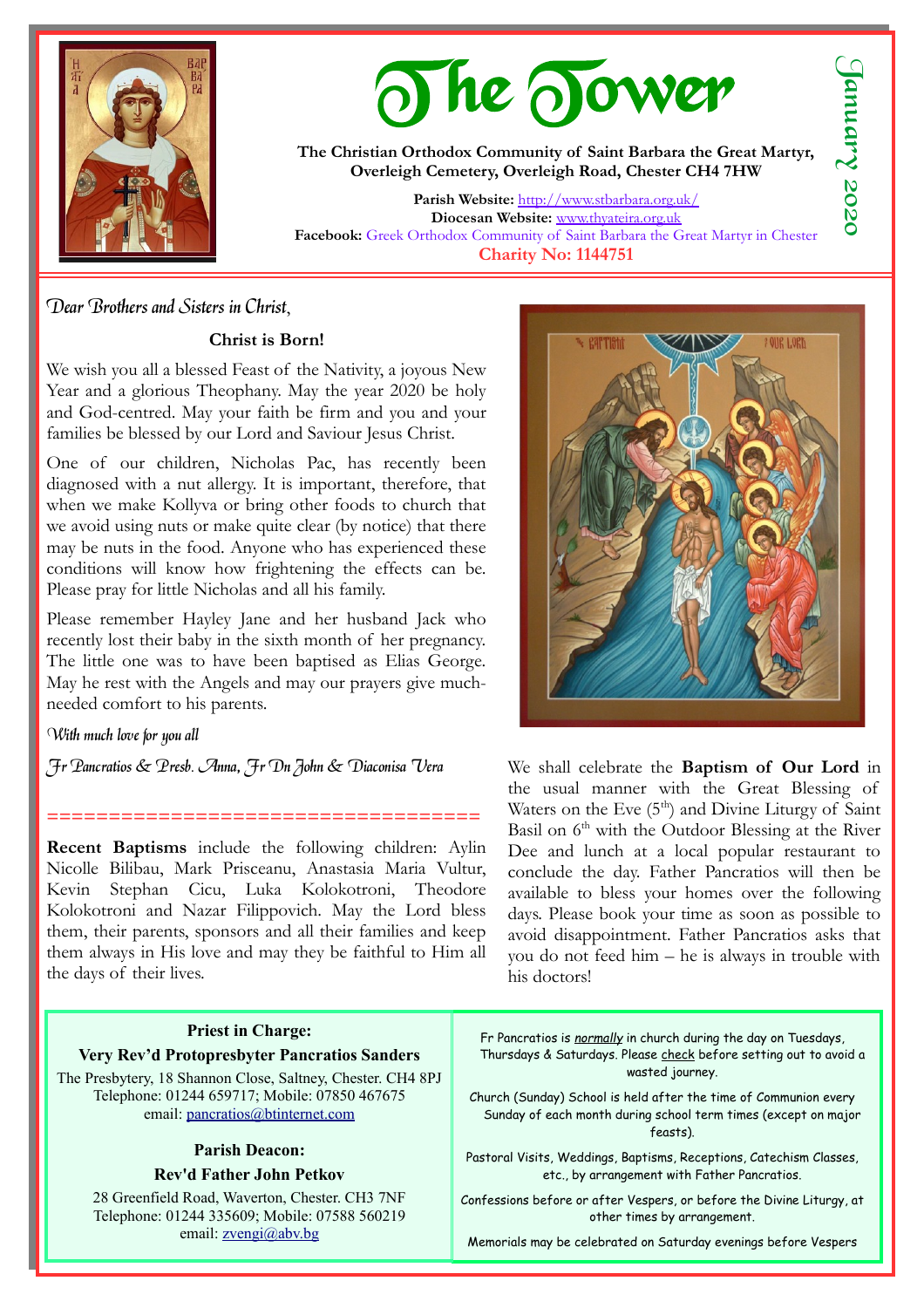

# The Tower

**The Christian Orthodox Community of Saint Barbara the Great Martyr, Overleigh Cemetery, Overleigh Road, Chester CH4 7HW**

**Parish Website:** <http://www.stbarbara.org.uk/> **Diocesan Website:** [www.thyateira.org.uk](http://www.thyateira.org.uk/) **Facebook:** Greek Orthodox Community of Saint Barbara the Great Martyr in Chester **Charity No: 1144751**

## Dear Brothers and Sisters in Christ,

#### **Christ is Born!**

We wish you all a blessed Feast of the Nativity, a joyous New Year and a glorious Theophany. May the year 2020 be holy and God-centred. May your faith be firm and you and your families be blessed by our Lord and Saviour Jesus Christ.

One of our children, Nicholas Pac, has recently been diagnosed with a nut allergy. It is important, therefore, that when we make Kollyva or bring other foods to church that we avoid using nuts or make quite clear (by notice) that there may be nuts in the food. Anyone who has experienced these conditions will know how frightening the effects can be. Please pray for little Nicholas and all his family.

Please remember Hayley Jane and her husband Jack who recently lost their baby in the sixth month of her pregnancy. The little one was to have been baptised as Elias George. May he rest with the Angels and may our prayers give muchneeded comfort to his parents.

#### With much love for you all

Fr Pancratios & Presb. Anna, Fr Dn John & Diaconisa Vera

**Recent Baptisms** include the following children: Aylin Nicolle Bilibau, Mark Prisceanu, Anastasia Maria Vultur, Kevin Stephan Cicu, Luka Kolokotroni, Theodore Kolokotroni and Nazar Filippovich. May the Lord bless them, their parents, sponsors and all their families and keep them always in His love and may they be faithful to Him all the days of their lives.

**===================================**

## **Priest in Charge: Very Rev'd Protopresbyter Pancratios Sanders**

The Presbytery, 18 Shannon Close, Saltney, Chester. CH4 8PJ Telephone: 01244 659717; Mobile: 07850 467675 email: [pancratios@btinternet.com](mailto:pancratios@btinternet.com)

## **Parish Deacon:**

## **Rev'd Father John Petkov**

28 Greenfield Road, Waverton, Chester. CH3 7NF Telephone: 01244 335609; Mobile: 07588 560219 email: [zvengi@abv.bg](mailto:zvengi@abv.bg)



We shall celebrate the **Baptism of Our Lord** in the usual manner with the Great Blessing of Waters on the Eve  $(5<sup>th</sup>)$  and Divine Liturgy of Saint Basil on 6<sup>th</sup> with the Outdoor Blessing at the River Dee and lunch at a local popular restaurant to conclude the day. Father Pancratios will then be available to bless your homes over the following days. Please book your time as soon as possible to avoid disappointment. Father Pancratios asks that you do not feed him – he is always in trouble with his doctors!

Fr Pancratios is *normally* in church during the day on Tuesdays, Thursdays & Saturdays. Please check before setting out to avoid a wasted journey.

Church (Sunday) School is held after the time of Communion every Sunday of each month during school term times (except on major feasts).

Pastoral Visits, Weddings, Baptisms, Receptions, Catechism Classes, etc., by arrangement with Father Pancratios.

Confessions before or after Vespers, or before the Divine Liturgy, at other times by arrangement.

Memorials may be celebrated on Saturday evenings before Vespers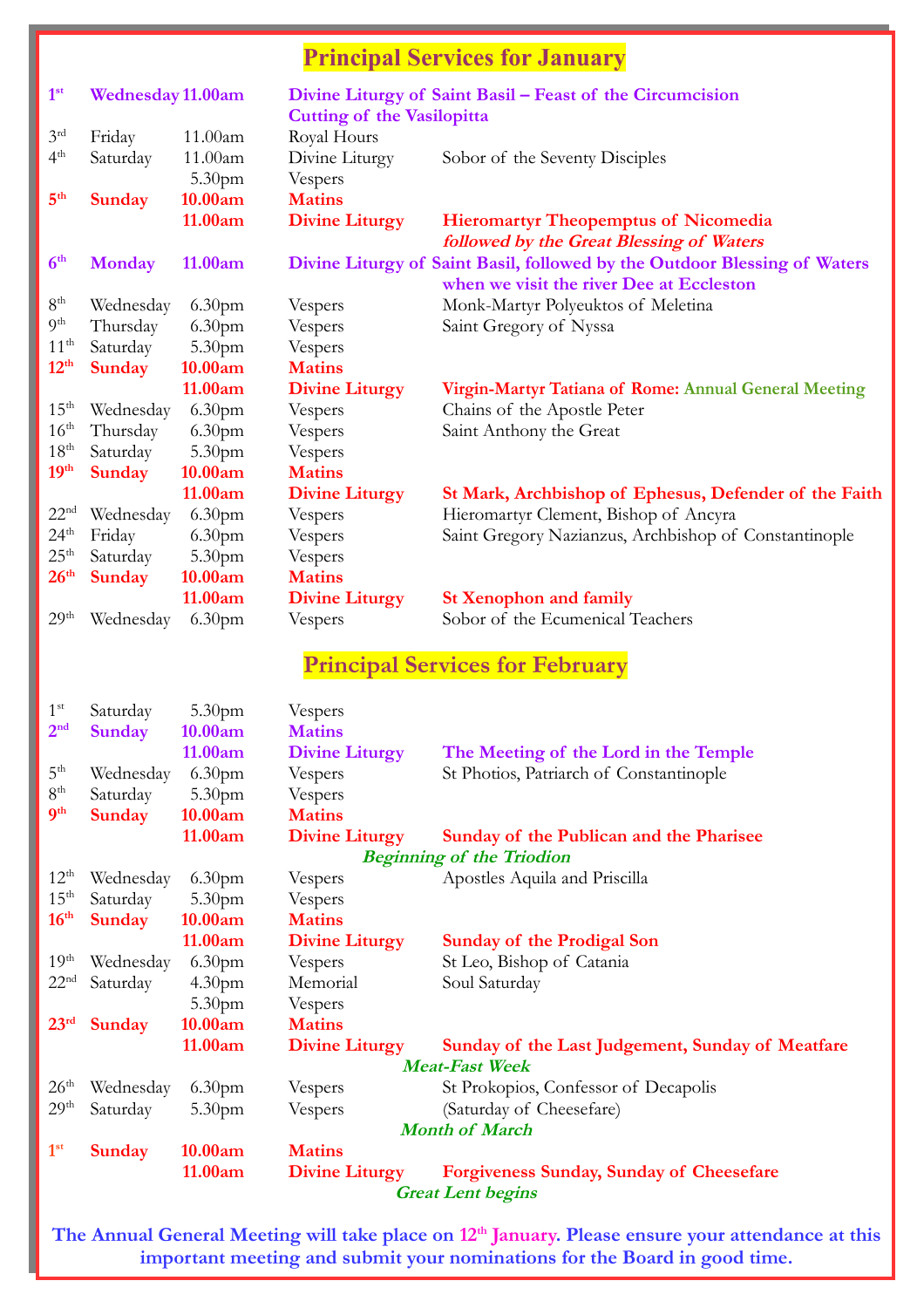## **Principal Services for January**

| 1 <sup>st</sup>  | <b>Wednesday 11.00am</b> |                    |                                   | Divine Liturgy of Saint Basil – Feast of the Circumcision                 |
|------------------|--------------------------|--------------------|-----------------------------------|---------------------------------------------------------------------------|
|                  |                          |                    | <b>Cutting of the Vasilopitta</b> |                                                                           |
| 3 <sup>rd</sup>  | Friday                   | 11.00am            | Royal Hours                       |                                                                           |
| 4 <sup>th</sup>  | Saturday                 | 11.00am            | Divine Liturgy                    | Sobor of the Seventy Disciples                                            |
|                  |                          | 5.30pm             | Vespers                           |                                                                           |
| 5 <sup>th</sup>  | <b>Sunday</b>            | 10.00am            | <b>Matins</b>                     |                                                                           |
|                  |                          | 11.00am            | <b>Divine Liturgy</b>             | <b>Hieromartyr Theopemptus of Nicomedia</b>                               |
|                  |                          |                    |                                   | followed by the Great Blessing of Waters                                  |
| 6 <sup>th</sup>  | <b>Monday</b>            | 11.00am            |                                   | Divine Liturgy of Saint Basil, followed by the Outdoor Blessing of Waters |
|                  |                          |                    |                                   | when we visit the river Dee at Eccleston                                  |
| 8 <sup>th</sup>  | Wednesday                | 6.30 <sub>pm</sub> | Vespers                           | Monk-Martyr Polyeuktos of Meletina                                        |
| 9 <sup>th</sup>  | Thursday                 | 6.30pm             | Vespers                           | Saint Gregory of Nyssa                                                    |
| 11 <sup>th</sup> | Saturday                 | 5.30 <sub>pm</sub> | Vespers                           |                                                                           |
| 12 <sup>th</sup> | <b>Sunday</b>            | 10.00am            | <b>Matins</b>                     |                                                                           |
|                  |                          | 11.00am            | <b>Divine Liturgy</b>             | Virgin-Martyr Tatiana of Rome: Annual General Meeting                     |
| 15 <sup>th</sup> | Wednesday                | 6.30 <sub>pm</sub> | Vespers                           | Chains of the Apostle Peter                                               |
| $16^{\text{th}}$ | Thursday                 | 6.30 <sub>pm</sub> | Vespers                           | Saint Anthony the Great                                                   |
| 18 <sup>th</sup> | Saturday                 | 5.30 <sub>pm</sub> | Vespers                           |                                                                           |
| 19 <sup>th</sup> | <b>Sunday</b>            | 10.00am            | <b>Matins</b>                     |                                                                           |
|                  |                          | 11.00am            | <b>Divine Liturgy</b>             | St Mark, Archbishop of Ephesus, Defender of the Faith                     |
| 22 <sup>nd</sup> | Wednesday                | 6.30 <sub>pm</sub> | Vespers                           | Hieromartyr Clement, Bishop of Ancyra                                     |
| 24 <sup>th</sup> | Friday                   | 6.30 <sub>pm</sub> | Vespers                           | Saint Gregory Nazianzus, Archbishop of Constantinople                     |
| 25 <sup>th</sup> | Saturday                 | 5.30pm             | Vespers                           |                                                                           |
| 26 <sup>th</sup> | <b>Sunday</b>            | 10.00am            | <b>Matins</b>                     |                                                                           |
|                  |                          | 11.00am            | <b>Divine Liturgy</b>             | <b>St Xenophon and family</b>                                             |
| 29 <sup>th</sup> | Wednesday                | 6.30 <sub>pm</sub> | Vespers                           | Sobor of the Ecumenical Teachers                                          |
|                  |                          |                    |                                   |                                                                           |

## **Principal Services for February**

| 1 <sup>st</sup>       | Saturday                         | 5.30 <sub>pm</sub> | Vespers               |                                                  |  |  |  |
|-----------------------|----------------------------------|--------------------|-----------------------|--------------------------------------------------|--|--|--|
| 2 <sup>nd</sup>       | <b>Sunday</b>                    | 10.00am            | <b>Matins</b>         |                                                  |  |  |  |
|                       |                                  | 11.00am            | <b>Divine Liturgy</b> | The Meeting of the Lord in the Temple            |  |  |  |
| 5 <sup>th</sup>       | Wednesday                        | 6.30 <sub>pm</sub> | Vespers               | St Photios, Patriarch of Constantinople          |  |  |  |
| 8 <sup>th</sup>       | Saturday                         | 5.30 <sub>pm</sub> | Vespers               |                                                  |  |  |  |
| <b>gth</b>            | Sunday                           | 10.00am            | <b>Matins</b>         |                                                  |  |  |  |
|                       |                                  | 11.00am            | <b>Divine Liturgy</b> | Sunday of the Publican and the Pharisee          |  |  |  |
|                       | <b>Beginning of the Triodion</b> |                    |                       |                                                  |  |  |  |
| $12^{\text{th}}$      | Wednesday                        | 6.30 <sub>pm</sub> | Vespers               | Apostles Aquila and Priscilla                    |  |  |  |
| $15^{\text{th}}$      | Saturday                         | 5.30 <sub>pm</sub> | Vespers               |                                                  |  |  |  |
| 16 <sup>th</sup>      | <b>Sunday</b>                    | 10.00am            | <b>Matins</b>         |                                                  |  |  |  |
|                       |                                  | 11.00am            | <b>Divine Liturgy</b> | <b>Sunday of the Prodigal Son</b>                |  |  |  |
| 19 <sup>th</sup>      | Wednesday                        | 6.30 <sub>pm</sub> | Vespers               | St Leo, Bishop of Catania                        |  |  |  |
| 22 <sup>nd</sup>      | Saturday                         | 4.30 <sub>pm</sub> | Memorial              | Soul Saturday                                    |  |  |  |
|                       |                                  | 5.30 <sub>pm</sub> | Vespers               |                                                  |  |  |  |
| 23 <sup>rd</sup>      | <b>Sunday</b>                    | 10.00am            | <b>Matins</b>         |                                                  |  |  |  |
|                       |                                  | 11.00am            | <b>Divine Liturgy</b> | Sunday of the Last Judgement, Sunday of Meatfare |  |  |  |
| <b>Meat-Fast Week</b> |                                  |                    |                       |                                                  |  |  |  |
| 26 <sup>th</sup>      | Wednesday                        | 6.30 <sub>pm</sub> | Vespers               | St Prokopios, Confessor of Decapolis             |  |  |  |
| 29 <sup>th</sup>      | Saturday                         | 5.30 <sub>pm</sub> | Vespers               | (Saturday of Cheesefare)                         |  |  |  |
|                       | <b>Month of March</b>            |                    |                       |                                                  |  |  |  |
| 1 <sup>st</sup>       | <b>Sunday</b>                    | 10.00am            | <b>Matins</b>         |                                                  |  |  |  |
|                       |                                  | 11.00am            | <b>Divine Liturgy</b> | <b>Forgiveness Sunday, Sunday of Cheesefare</b>  |  |  |  |
|                       | <b>Great Lent begins</b>         |                    |                       |                                                  |  |  |  |
|                       |                                  |                    |                       |                                                  |  |  |  |

**The Annual General Meeting will take place on 12th January. Please ensure your attendance at this important meeting and submit your nominations for the Board in good time.**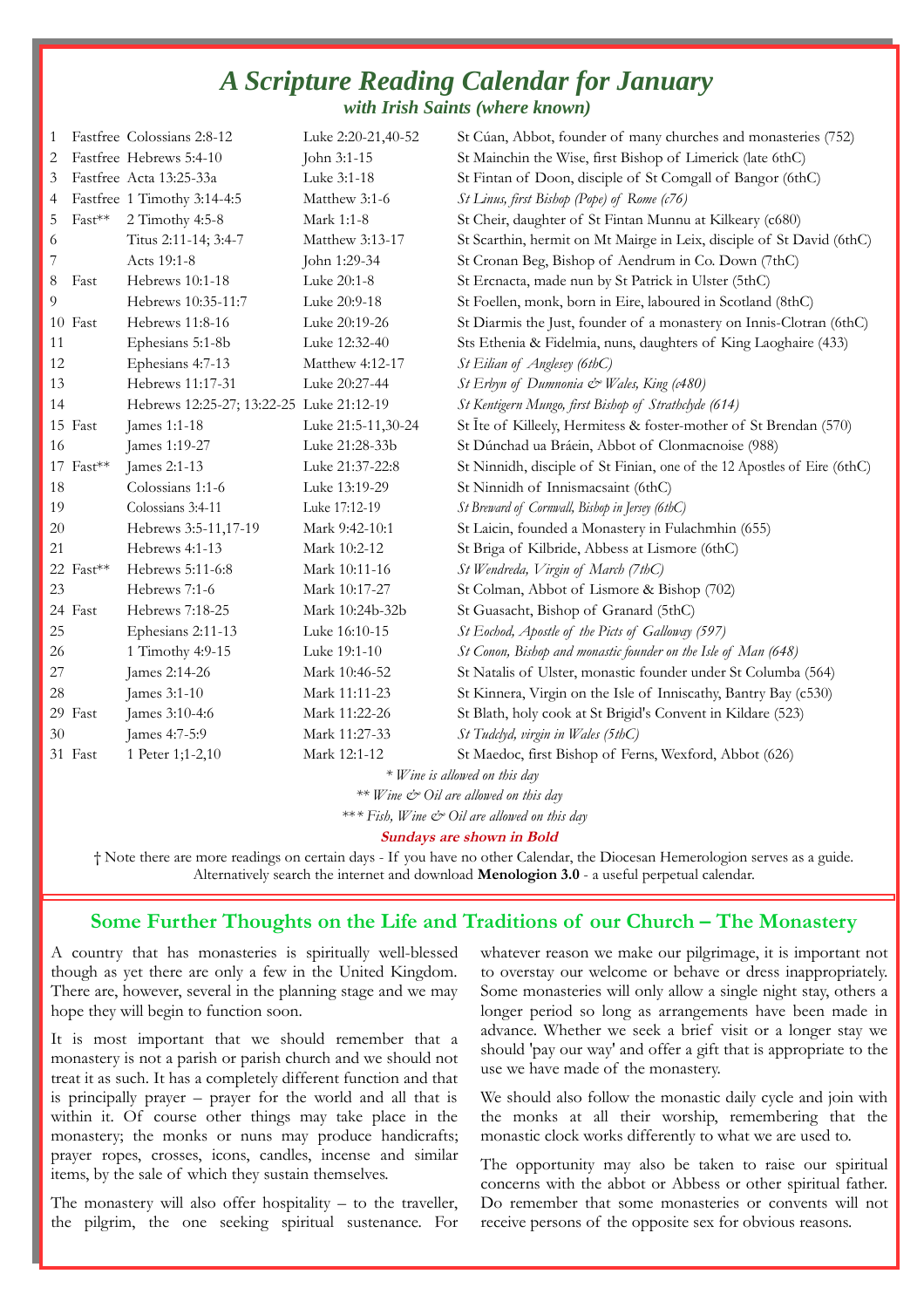## *A Scripture Reading Calendar for January with Irish Saints (where known)*

| 1  |                               | Fastfree Colossians 2:8-12               | Luke 2:20-21,40-52 | St Cúan, Abbot, founder of many churches and monasteries (752)           |  |  |
|----|-------------------------------|------------------------------------------|--------------------|--------------------------------------------------------------------------|--|--|
| 2  |                               | Fastfree Hebrews 5:4-10                  | John 3:1-15        | St Mainchin the Wise, first Bishop of Limerick (late 6thC)               |  |  |
| 3  |                               | Fastfree Acta 13:25-33a                  | Luke 3:1-18        | St Fintan of Doon, disciple of St Comgall of Bangor (6thC)               |  |  |
| 4  |                               | Fastfree 1 Timothy 3:14-4:5              | Matthew 3:1-6      | St Linus, first Bishop (Pope) of Rome (c76)                              |  |  |
| 5  | $Fast***$                     | 2 Timothy 4:5-8                          | Mark 1:1-8         | St Cheir, daughter of St Fintan Munnu at Kilkeary (c680)                 |  |  |
| 6  |                               | Titus 2:11-14; 3:4-7                     | Matthew 3:13-17    | St Scarthin, hermit on Mt Mairge in Leix, disciple of St David (6thC)    |  |  |
| 7  |                               | Acts 19:1-8                              | John 1:29-34       | St Cronan Beg, Bishop of Aendrum in Co. Down (7thC)                      |  |  |
| 8  | Fast                          | Hebrews 10:1-18                          | Luke 20:1-8        | St Ercnacta, made nun by St Patrick in Ulster (5thC)                     |  |  |
| 9  |                               | Hebrews 10:35-11:7                       | Luke 20:9-18       | St Foellen, monk, born in Eire, laboured in Scotland (8thC)              |  |  |
|    | 10 Fast                       | Hebrews 11:8-16                          | Luke 20:19-26      | St Diarmis the Just, founder of a monastery on Innis-Clotran (6thC)      |  |  |
| 11 |                               | Ephesians 5:1-8b                         | Luke 12:32-40      | Sts Ethenia & Fidelmia, nuns, daughters of King Laoghaire (433)          |  |  |
| 12 |                               | Ephesians 4:7-13                         | Matthew 4:12-17    | St Eilian of Anglesey (6thC)                                             |  |  |
| 13 |                               | Hebrews 11:17-31                         | Luke 20:27-44      | St Erbyn of Dumnonia & Wales, King (c480)                                |  |  |
| 14 |                               | Hebrews 12:25-27; 13:22-25 Luke 21:12-19 |                    | St Kentigern Mungo, first Bishop of Strathclyde (614)                    |  |  |
|    | 15 Fast                       | James 1:1-18                             | Luke 21:5-11,30-24 | St Ite of Killeely, Hermitess & foster-mother of St Brendan (570)        |  |  |
| 16 |                               | James 1:19-27                            | Luke 21:28-33b     | St Dúnchad ua Bráein, Abbot of Clonmacnoise (988)                        |  |  |
|    | 17 Fast**                     | James 2:1-13                             | Luke 21:37-22:8    | St Ninnidh, disciple of St Finian, one of the 12 Apostles of Eire (6thC) |  |  |
| 18 |                               | Colossians 1:1-6                         | Luke 13:19-29      | St Ninnidh of Innismacsaint (6thC)                                       |  |  |
| 19 |                               | Colossians 3:4-11                        | Luke 17:12-19      | St Breward of Cornwall, Bishop in Jersey (6thC)                          |  |  |
| 20 |                               | Hebrews 3:5-11,17-19                     | Mark 9:42-10:1     | St Laicin, founded a Monastery in Fulachmhin (655)                       |  |  |
| 21 |                               | Hebrews 4:1-13                           | Mark 10:2-12       | St Briga of Kilbride, Abbess at Lismore (6thC)                           |  |  |
|    | 22 Fast**                     | Hebrews 5:11-6:8                         | Mark 10:11-16      | St Wendreda, Virgin of March (7thC)                                      |  |  |
| 23 |                               | Hebrews 7:1-6                            | Mark 10:17-27      | St Colman, Abbot of Lismore & Bishop (702)                               |  |  |
|    | 24 Fast                       | Hebrews 7:18-25                          | Mark 10:24b-32b    | St Guasacht, Bishop of Granard (5thC)                                    |  |  |
| 25 |                               | Ephesians 2:11-13                        | Luke 16:10-15      | St Eochod, Apostle of the Picts of Galloway (597)                        |  |  |
| 26 |                               | 1 Timothy 4:9-15                         | Luke 19:1-10       | St Conon, Bishop and monastic founder on the Isle of Man (648)           |  |  |
| 27 |                               | James 2:14-26                            | Mark 10:46-52      | St Natalis of Ulster, monastic founder under St Columba (564)            |  |  |
| 28 |                               | James 3:1-10                             | Mark 11:11-23      | St Kinnera, Virgin on the Isle of Inniscathy, Bantry Bay (c530)          |  |  |
|    | 29 Fast                       | James 3:10-4:6                           | Mark 11:22-26      | St Blath, holy cook at St Brigid's Convent in Kildare (523)              |  |  |
| 30 |                               | James 4:7-5:9                            | Mark 11:27-33      | St Tudclyd, virgin in Wales (5thC)                                       |  |  |
|    | 31 Fast                       | 1 Peter 1;1-2,10                         | Mark 12:1-12       | St Maedoc, first Bishop of Ferns, Wexford, Abbot (626)                   |  |  |
|    | * Wine is allowed on this day |                                          |                    |                                                                          |  |  |

*\*\* Wine & Oil are allowed on this day* 

\*\**\* Fish, Wine & Oil are allowed on this day* 

#### **Sundays are shown in Bold**

† Note there are more readings on certain days - If you have no other Calendar, the Diocesan Hemerologion serves as a guide. Alternatively search the internet and download **Menologion 3.0** - a useful perpetual calendar.

## **Some Further Thoughts on the Life and Traditions of our Church – The Monastery**

A country that has monasteries is spiritually well-blessed though as yet there are only a few in the United Kingdom. There are, however, several in the planning stage and we may hope they will begin to function soon.

It is most important that we should remember that a monastery is not a parish or parish church and we should not treat it as such. It has a completely different function and that is principally prayer – prayer for the world and all that is within it. Of course other things may take place in the monastery; the monks or nuns may produce handicrafts; prayer ropes, crosses, icons, candles, incense and similar items, by the sale of which they sustain themselves.

The monastery will also offer hospitality – to the traveller, the pilgrim, the one seeking spiritual sustenance. For whatever reason we make our pilgrimage, it is important not to overstay our welcome or behave or dress inappropriately. Some monasteries will only allow a single night stay, others a longer period so long as arrangements have been made in advance. Whether we seek a brief visit or a longer stay we should 'pay our way' and offer a gift that is appropriate to the use we have made of the monastery.

We should also follow the monastic daily cycle and join with the monks at all their worship, remembering that the monastic clock works differently to what we are used to.

The opportunity may also be taken to raise our spiritual concerns with the abbot or Abbess or other spiritual father. Do remember that some monasteries or convents will not receive persons of the opposite sex for obvious reasons.